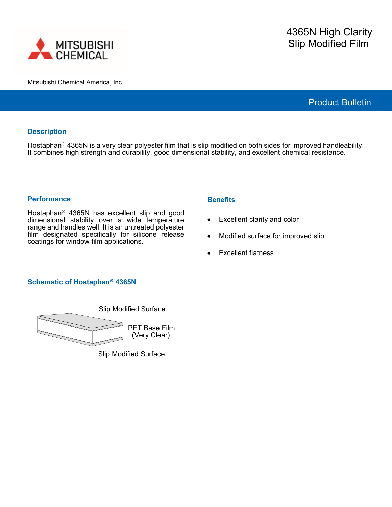

Mitsubishi Chemical America, Inc.

Product Bulletin

## **Description**

Hostaphan<sup>®</sup> 4365N is a very clear polyester film that is slip modified on both sides for improved handleability. It combines high strength and durability, good dimensional stability, and excellent chemical resistance.

### **Performance**

Hostaphan<sup>®</sup> 4365N has excellent slip and good dimensional stability over a wide temperature range and handles well. It is an untreated polyester film designated specifically for silicone release coatings for window film applications.

### **Benefits**

- Excellent clarity and color
- Modified surface for improved slip
- Excellent flatness

# **Schematic of Hostaphan 4365N**



Slip Modified Surface